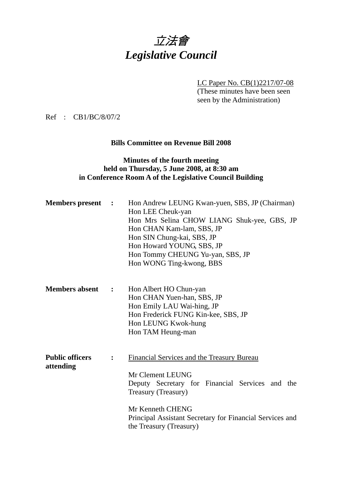

LC Paper No. CB(1)2217/07-08

(These minutes have been seen seen by the Administration)

Ref : CB1/BC/8/07/2

#### **Bills Committee on Revenue Bill 2008**

#### **Minutes of the fourth meeting held on Thursday, 5 June 2008, at 8:30 am in Conference Room A of the Legislative Council Building**

| <b>Members</b> present              | $\ddot{\phantom{1}}$ | Hon Andrew LEUNG Kwan-yuen, SBS, JP (Chairman)<br>Hon LEE Cheuk-yan<br>Hon Mrs Selina CHOW LIANG Shuk-yee, GBS, JP<br>Hon CHAN Kam-lam, SBS, JP<br>Hon SIN Chung-kai, SBS, JP<br>Hon Howard YOUNG, SBS, JP<br>Hon Tommy CHEUNG Yu-yan, SBS, JP<br>Hon WONG Ting-kwong, BBS |
|-------------------------------------|----------------------|----------------------------------------------------------------------------------------------------------------------------------------------------------------------------------------------------------------------------------------------------------------------------|
| <b>Members absent</b>               | :                    | Hon Albert HO Chun-yan<br>Hon CHAN Yuen-han, SBS, JP<br>Hon Emily LAU Wai-hing, JP<br>Hon Frederick FUNG Kin-kee, SBS, JP<br>Hon LEUNG Kwok-hung<br>Hon TAM Heung-man                                                                                                      |
| <b>Public officers</b><br>attending |                      | Financial Services and the Treasury Bureau<br>Mr Clement LEUNG<br>Deputy Secretary for Financial Services and the<br>Treasury (Treasury)<br>Mr Kenneth CHENG<br>Principal Assistant Secretary for Financial Services and<br>the Treasury (Treasury)                        |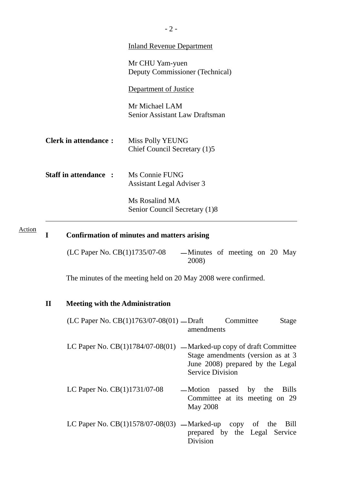| <b>Inland Revenue Department</b>                                                   |
|------------------------------------------------------------------------------------|
| Mr CHU Yam-yuen<br>Deputy Commissioner (Technical)                                 |
| Department of Justice                                                              |
| Mr Michael LAM<br>Senior Assistant Law Draftsman                                   |
| Miss Polly YEUNG<br>Chief Council Secretary (1)5                                   |
| <b>Staff in attendance :</b><br>Ms Connie FUNG<br><b>Assistant Legal Adviser 3</b> |
| Ms Rosalind MA<br>Senior Council Secretary (1)8                                    |
|                                                                                    |

#### **I Confirmation of minutes and matters arising**  Action

| (LC Paper No. CB(1)1735/07-08 | -Minutes of meeting on 20 May |  |  |  |
|-------------------------------|-------------------------------|--|--|--|
|                               | 2008)                         |  |  |  |

The minutes of the meeting held on 20 May 2008 were confirmed.

#### **II Meeting with the Administration**

| (LC Paper No. $CB(1)1763/07-08(01)$ — Draft | Committee  | Stage |
|---------------------------------------------|------------|-------|
|                                             | amendments |       |

- LC Paper No.  $CB(1)1784/07-08(01)$  -Marked-up copy of draft Committee Stage amendments (version as at 3 June 2008) prepared by the Legal Service Division
- LC Paper No.  $CB(1)1731/07-08$  -Motion passed by the Bills Committee at its meeting on 29 May 2008
- LC Paper No.  $CB(1)1578/07-08(03)$  —Marked-up copy of the Bill prepared by the Legal Service Division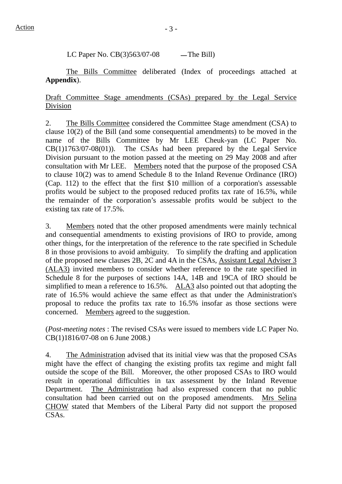LC Paper No.  $CB(3)563/07-08$  -The Bill)

 The Bills Committee deliberated (Index of proceedings attached at **Appendix**).

## Draft Committee Stage amendments (CSAs) prepared by the Legal Service Division

2. The Bills Committee considered the Committee Stage amendment (CSA) to clause 10(2) of the Bill (and some consequential amendments) to be moved in the name of the Bills Committee by Mr LEE Cheuk-yan (LC Paper No.  $CB(1)1763/07-08(01)$ . The CSAs had been prepared by the Legal Service Division pursuant to the motion passed at the meeting on 29 May 2008 and after consultation with Mr LEE. Members noted that the purpose of the proposed CSA to clause 10(2) was to amend Schedule 8 to the Inland Revenue Ordinance (IRO) (Cap. 112) to the effect that the first \$10 million of a corporation's assessable profits would be subject to the proposed reduced profits tax rate of 16.5%, while the remainder of the corporation's assessable profits would be subject to the existing tax rate of 17.5%.

3. Members noted that the other proposed amendments were mainly technical and consequential amendments to existing provisions of IRO to provide, among other things, for the interpretation of the reference to the rate specified in Schedule 8 in those provisions to avoid ambiguity. To simplify the drafting and application of the proposed new clauses 2B, 2C and 4A in the CSAs, Assistant Legal Adviser 3 (ALA3) invited members to consider whether reference to the rate specified in Schedule 8 for the purposes of sections 14A, 14B and 19CA of IRO should be simplified to mean a reference to 16.5%. ALA3 also pointed out that adopting the rate of 16.5% would achieve the same effect as that under the Administration's proposal to reduce the profits tax rate to 16.5% insofar as those sections were concerned. Members agreed to the suggestion.

(*Post-meeting notes* : The revised CSAs were issued to members vide LC Paper No. CB(1)1816/07-08 on 6 June 2008.)

4. The Administration advised that its initial view was that the proposed CSAs might have the effect of changing the existing profits tax regime and might fall outside the scope of the Bill. Moreover, the other proposed CSAs to IRO would result in operational difficulties in tax assessment by the Inland Revenue Department. The Administration had also expressed concern that no public consultation had been carried out on the proposed amendments. Mrs Selina CHOW stated that Members of the Liberal Party did not support the proposed CSAs.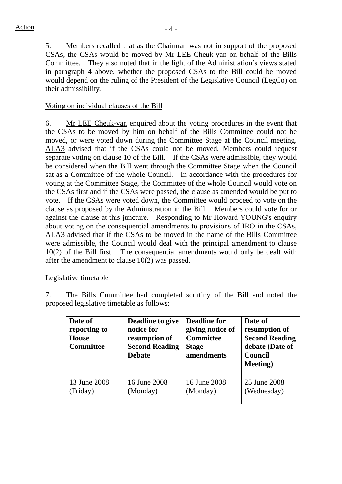5. Members recalled that as the Chairman was not in support of the proposed CSAs, the CSAs would be moved by Mr LEE Cheuk-yan on behalf of the Bills Committee. They also noted that in the light of the Administration's views stated in paragraph 4 above, whether the proposed CSAs to the Bill could be moved would depend on the ruling of the President of the Legislative Council (LegCo) on their admissibility.

## Voting on individual clauses of the Bill

6. Mr LEE Cheuk-yan enquired about the voting procedures in the event that the CSAs to be moved by him on behalf of the Bills Committee could not be moved, or were voted down during the Committee Stage at the Council meeting. ALA3 advised that if the CSAs could not be moved, Members could request separate voting on clause 10 of the Bill. If the CSAs were admissible, they would be considered when the Bill went through the Committee Stage when the Council sat as a Committee of the whole Council. In accordance with the procedures for voting at the Committee Stage, the Committee of the whole Council would vote on the CSAs first and if the CSAs were passed, the clause as amended would be put to vote. If the CSAs were voted down, the Committee would proceed to vote on the clause as proposed by the Administration in the Bill. Members could vote for or against the clause at this juncture. Responding to Mr Howard YOUNG's enquiry about voting on the consequential amendments to provisions of IRO in the CSAs, ALA3 advised that if the CSAs to be moved in the name of the Bills Committee were admissible, the Council would deal with the principal amendment to clause 10(2) of the Bill first. The consequential amendments would only be dealt with after the amendment to clause 10(2) was passed.

#### Legislative timetable

7. The Bills Committee had completed scrutiny of the Bill and noted the proposed legislative timetable as follows:

| Date of<br>reporting to<br><b>House</b><br><b>Committee</b> | Deadline to give<br>notice for<br>resumption of<br><b>Second Reading</b><br><b>Debate</b> | <b>Deadline for</b><br>giving notice of<br><b>Committee</b><br><b>Stage</b><br>amendments | Date of<br>resumption of<br><b>Second Reading</b><br>debate (Date of<br>Council<br><b>Meeting</b> ) |
|-------------------------------------------------------------|-------------------------------------------------------------------------------------------|-------------------------------------------------------------------------------------------|-----------------------------------------------------------------------------------------------------|
| 13 June 2008                                                | 16 June 2008                                                                              | 16 June 2008                                                                              | 25 June 2008                                                                                        |
| (Friday)                                                    | (Monday)                                                                                  | (Monday)                                                                                  | (Wednesday)                                                                                         |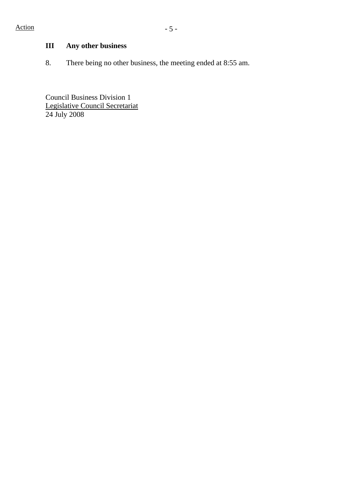# **III Any other business**

8. There being no other business, the meeting ended at 8:55 am.

Council Business Division 1 Legislative Council Secretariat 24 July 2008